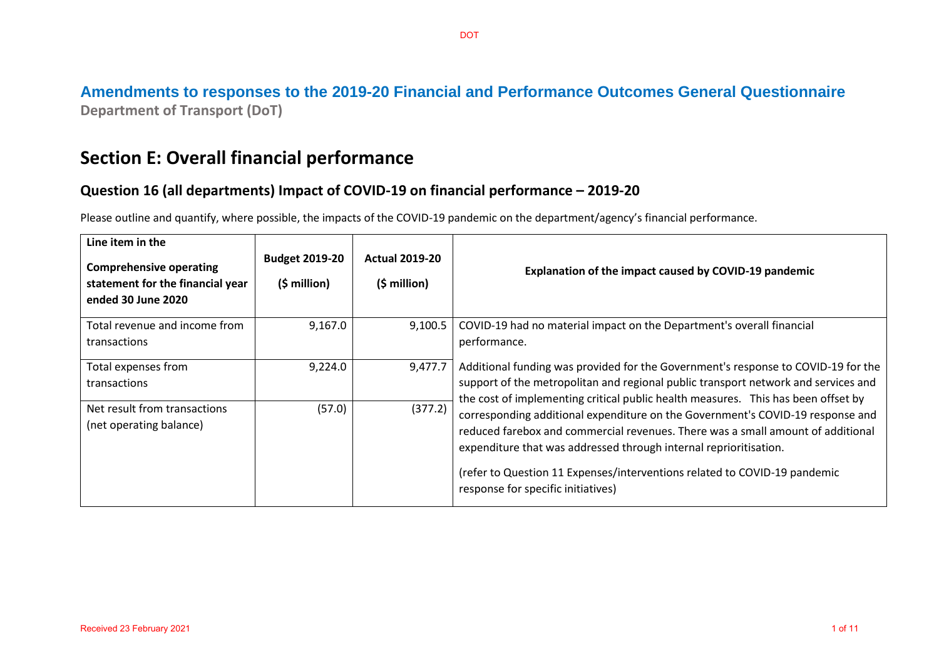### **Amendments to responses to the 2019-20 Financial and Performance Outcomes General Questionnaire Department of Transport (DoT)**

# **Section E: Overall financial performance**

### **Question 16 (all departments) Impact of COVID-19 on financial performance – 2019-20**

Please outline and quantify, where possible, the impacts of the COVID-19 pandemic on the department/agency's financial performance.

| Line item in the<br><b>Comprehensive operating</b><br>statement for the financial year<br>ended 30 June 2020 | <b>Budget 2019-20</b><br>$(5 \text{ million})$ | <b>Actual 2019-20</b><br>$(5$ million) | Explanation of the impact caused by COVID-19 pandemic                                                                                                                                                                                                                                                                                                     |
|--------------------------------------------------------------------------------------------------------------|------------------------------------------------|----------------------------------------|-----------------------------------------------------------------------------------------------------------------------------------------------------------------------------------------------------------------------------------------------------------------------------------------------------------------------------------------------------------|
| Total revenue and income from<br>transactions                                                                | 9,167.0                                        | 9,100.5                                | COVID-19 had no material impact on the Department's overall financial<br>performance.                                                                                                                                                                                                                                                                     |
| Total expenses from<br>transactions                                                                          | 9,224.0                                        | 9,477.7                                | Additional funding was provided for the Government's response to COVID-19 for the<br>support of the metropolitan and regional public transport network and services and<br>the cost of implementing critical public health measures. This has been offset by                                                                                              |
| Net result from transactions<br>(net operating balance)                                                      | (57.0)                                         | (377.2)                                | corresponding additional expenditure on the Government's COVID-19 response and<br>reduced farebox and commercial revenues. There was a small amount of additional<br>expenditure that was addressed through internal reprioritisation.<br>(refer to Question 11 Expenses/interventions related to COVID-19 pandemic<br>response for specific initiatives) |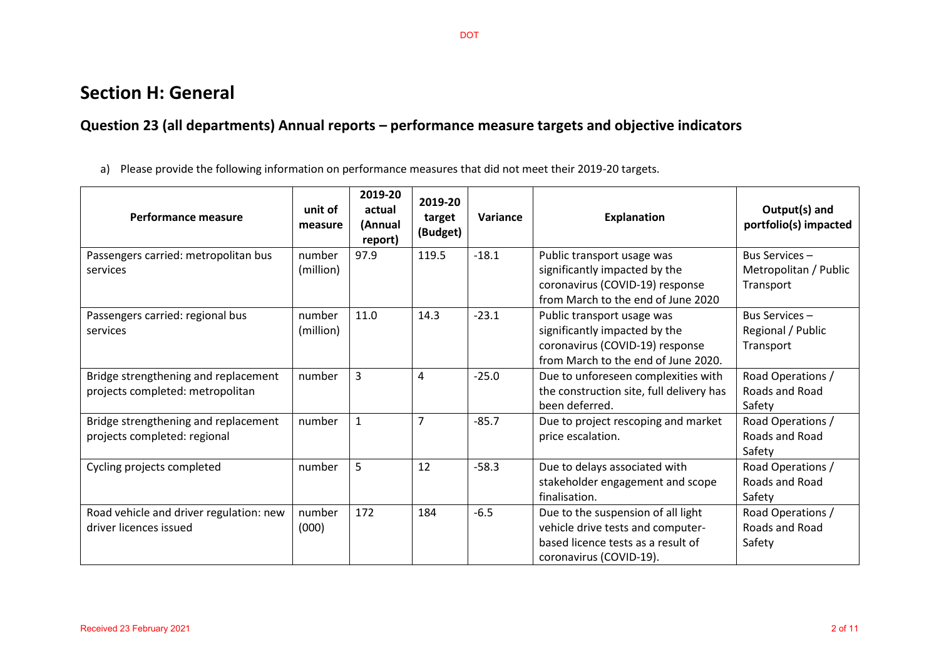## **Section H: General**

## **Question 23 (all departments) Annual reports – performance measure targets and objective indicators**

a) Please provide the following information on performance measures that did not meet their 2019-20 targets.

| Performance measure                                                      | unit of<br>measure  | 2019-20<br>actual<br>(Annual<br>report) | 2019-20<br>target<br>(Budget) | Variance | <b>Explanation</b>                                                                                                                       | Output(s) and<br>portfolio(s) impacted              |
|--------------------------------------------------------------------------|---------------------|-----------------------------------------|-------------------------------|----------|------------------------------------------------------------------------------------------------------------------------------------------|-----------------------------------------------------|
| Passengers carried: metropolitan bus<br>services                         | number<br>(million) | 97.9                                    | 119.5                         | $-18.1$  | Public transport usage was<br>significantly impacted by the<br>coronavirus (COVID-19) response<br>from March to the end of June 2020     | Bus Services-<br>Metropolitan / Public<br>Transport |
| Passengers carried: regional bus<br>services                             | number<br>(million) | 11.0                                    | 14.3                          | $-23.1$  | Public transport usage was<br>significantly impacted by the<br>coronavirus (COVID-19) response<br>from March to the end of June 2020.    | Bus Services-<br>Regional / Public<br>Transport     |
| Bridge strengthening and replacement<br>projects completed: metropolitan | number              | 3                                       | 4                             | $-25.0$  | Due to unforeseen complexities with<br>the construction site, full delivery has<br>been deferred.                                        | Road Operations /<br>Roads and Road<br>Safety       |
| Bridge strengthening and replacement<br>projects completed: regional     | number              | 1                                       | 7                             | $-85.7$  | Due to project rescoping and market<br>price escalation.                                                                                 | Road Operations /<br>Roads and Road<br>Safety       |
| Cycling projects completed                                               | number              | 5                                       | 12                            | $-58.3$  | Due to delays associated with<br>stakeholder engagement and scope<br>finalisation.                                                       | Road Operations /<br>Roads and Road<br>Safety       |
| Road vehicle and driver regulation: new<br>driver licences issued        | number<br>(000)     | 172                                     | 184                           | $-6.5$   | Due to the suspension of all light<br>vehicle drive tests and computer-<br>based licence tests as a result of<br>coronavirus (COVID-19). | Road Operations /<br>Roads and Road<br>Safety       |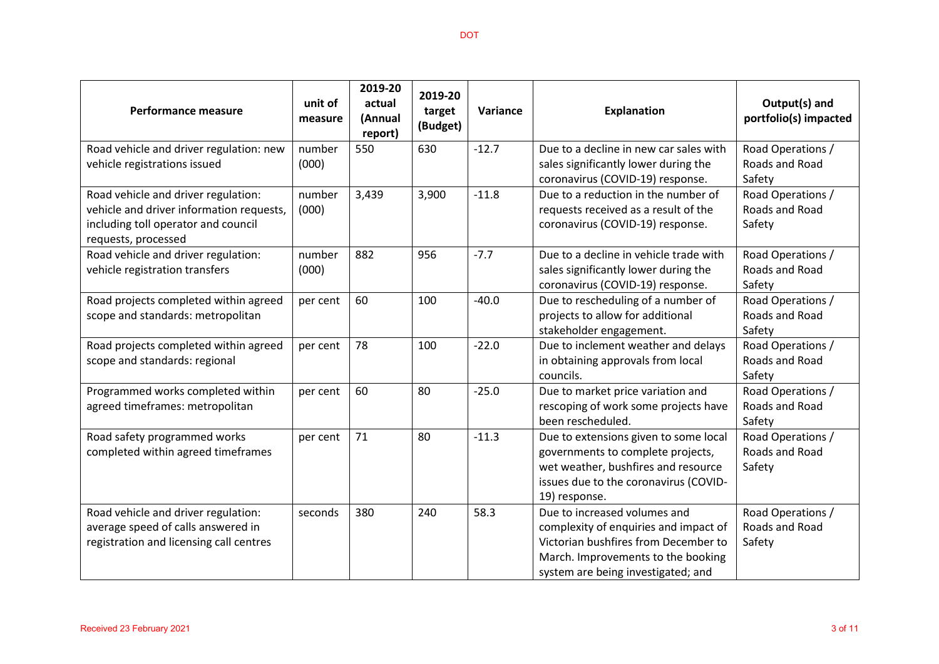| <b>Performance measure</b>                                                                                                                    | unit of<br>measure | 2019-20<br>actual<br>(Annual<br>report) | 2019-20<br>target<br>(Budget) | Variance | <b>Explanation</b>                                                                                                                                                                        | Output(s) and<br>portfolio(s) impacted        |
|-----------------------------------------------------------------------------------------------------------------------------------------------|--------------------|-----------------------------------------|-------------------------------|----------|-------------------------------------------------------------------------------------------------------------------------------------------------------------------------------------------|-----------------------------------------------|
| Road vehicle and driver regulation: new<br>vehicle registrations issued                                                                       | number<br>(000)    | 550                                     | 630                           | $-12.7$  | Due to a decline in new car sales with<br>sales significantly lower during the<br>coronavirus (COVID-19) response.                                                                        | Road Operations /<br>Roads and Road<br>Safety |
| Road vehicle and driver regulation:<br>vehicle and driver information requests,<br>including toll operator and council<br>requests, processed | number<br>(000)    | 3,439                                   | 3,900                         | $-11.8$  | Due to a reduction in the number of<br>requests received as a result of the<br>coronavirus (COVID-19) response.                                                                           | Road Operations /<br>Roads and Road<br>Safety |
| Road vehicle and driver regulation:<br>vehicle registration transfers                                                                         | number<br>(000)    | 882                                     | 956                           | $-7.7$   | Due to a decline in vehicle trade with<br>sales significantly lower during the<br>coronavirus (COVID-19) response.                                                                        | Road Operations /<br>Roads and Road<br>Safety |
| Road projects completed within agreed<br>scope and standards: metropolitan                                                                    | per cent           | 60                                      | 100                           | $-40.0$  | Due to rescheduling of a number of<br>projects to allow for additional<br>stakeholder engagement.                                                                                         | Road Operations /<br>Roads and Road<br>Safety |
| Road projects completed within agreed<br>scope and standards: regional                                                                        | per cent           | 78                                      | 100                           | $-22.0$  | Due to inclement weather and delays<br>in obtaining approvals from local<br>councils.                                                                                                     | Road Operations /<br>Roads and Road<br>Safety |
| Programmed works completed within<br>agreed timeframes: metropolitan                                                                          | per cent           | 60                                      | 80                            | $-25.0$  | Due to market price variation and<br>rescoping of work some projects have<br>been rescheduled.                                                                                            | Road Operations /<br>Roads and Road<br>Safety |
| Road safety programmed works<br>completed within agreed timeframes                                                                            | per cent           | 71                                      | 80                            | $-11.3$  | Due to extensions given to some local<br>governments to complete projects,<br>wet weather, bushfires and resource<br>issues due to the coronavirus (COVID-<br>19) response.               | Road Operations /<br>Roads and Road<br>Safety |
| Road vehicle and driver regulation:<br>average speed of calls answered in<br>registration and licensing call centres                          | seconds            | 380                                     | 240                           | 58.3     | Due to increased volumes and<br>complexity of enquiries and impact of<br>Victorian bushfires from December to<br>March. Improvements to the booking<br>system are being investigated; and | Road Operations /<br>Roads and Road<br>Safety |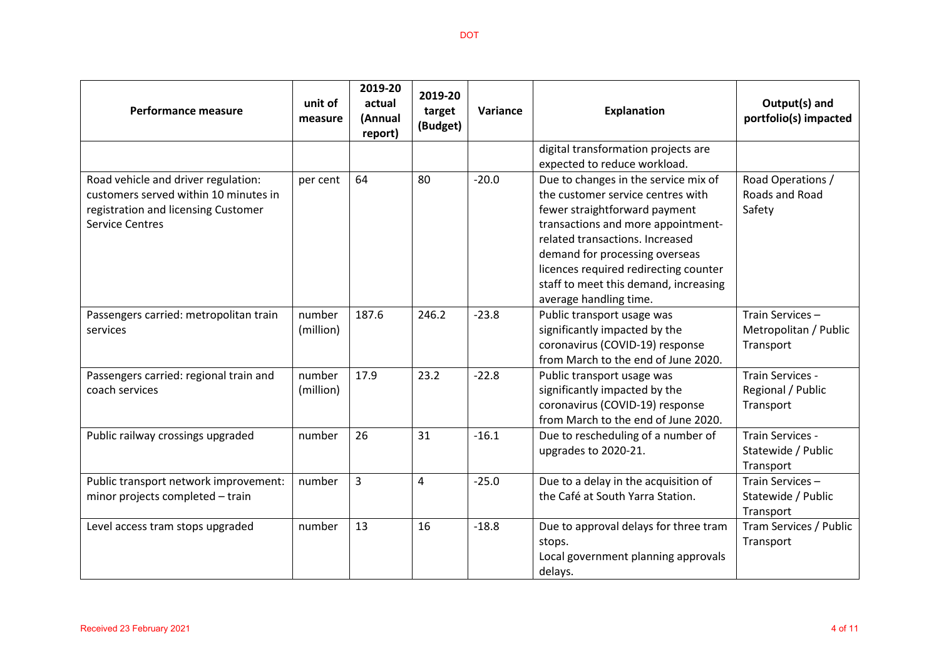| Performance measure                                                                                                                           | unit of<br>measure  | 2019-20<br>actual<br>(Annual<br>report) | 2019-20<br>target<br>(Budget) | Variance | <b>Explanation</b>                                                                                                                                                                                                                                                                                                                | Output(s) and<br>portfolio(s) impacted                |
|-----------------------------------------------------------------------------------------------------------------------------------------------|---------------------|-----------------------------------------|-------------------------------|----------|-----------------------------------------------------------------------------------------------------------------------------------------------------------------------------------------------------------------------------------------------------------------------------------------------------------------------------------|-------------------------------------------------------|
|                                                                                                                                               |                     |                                         |                               |          | digital transformation projects are<br>expected to reduce workload.                                                                                                                                                                                                                                                               |                                                       |
| Road vehicle and driver regulation:<br>customers served within 10 minutes in<br>registration and licensing Customer<br><b>Service Centres</b> | per cent            | 64                                      | 80                            | $-20.0$  | Due to changes in the service mix of<br>the customer service centres with<br>fewer straightforward payment<br>transactions and more appointment-<br>related transactions. Increased<br>demand for processing overseas<br>licences required redirecting counter<br>staff to meet this demand, increasing<br>average handling time. | Road Operations /<br>Roads and Road<br>Safety         |
| Passengers carried: metropolitan train<br>services                                                                                            | number<br>(million) | 187.6                                   | 246.2                         | $-23.8$  | Public transport usage was<br>significantly impacted by the<br>coronavirus (COVID-19) response<br>from March to the end of June 2020.                                                                                                                                                                                             | Train Services-<br>Metropolitan / Public<br>Transport |
| Passengers carried: regional train and<br>coach services                                                                                      | number<br>(million) | 17.9                                    | 23.2                          | $-22.8$  | Public transport usage was<br>significantly impacted by the<br>coronavirus (COVID-19) response<br>from March to the end of June 2020.                                                                                                                                                                                             | Train Services -<br>Regional / Public<br>Transport    |
| Public railway crossings upgraded                                                                                                             | number              | 26                                      | 31                            | $-16.1$  | Due to rescheduling of a number of<br>upgrades to 2020-21.                                                                                                                                                                                                                                                                        | Train Services -<br>Statewide / Public<br>Transport   |
| Public transport network improvement:<br>minor projects completed - train                                                                     | number              | 3                                       | 4                             | $-25.0$  | Due to a delay in the acquisition of<br>the Café at South Yarra Station.                                                                                                                                                                                                                                                          | Train Services-<br>Statewide / Public<br>Transport    |
| Level access tram stops upgraded                                                                                                              | number              | 13                                      | 16                            | $-18.8$  | Due to approval delays for three tram<br>stops.<br>Local government planning approvals<br>delays.                                                                                                                                                                                                                                 | Tram Services / Public<br>Transport                   |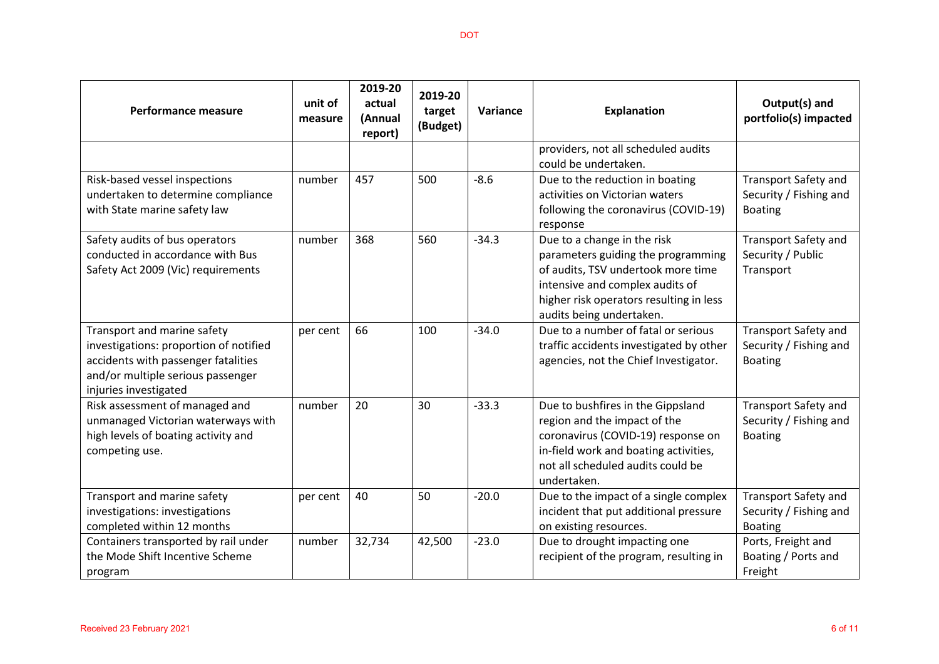| <b>Performance measure</b>                                                                                                                                                 | unit of<br>measure | 2019-20<br>actual<br>(Annual<br>report) | 2019-20<br>target<br>(Budget) | Variance | <b>Explanation</b>                                                                                                                                                                                                | Output(s) and<br>portfolio(s) impacted                                  |
|----------------------------------------------------------------------------------------------------------------------------------------------------------------------------|--------------------|-----------------------------------------|-------------------------------|----------|-------------------------------------------------------------------------------------------------------------------------------------------------------------------------------------------------------------------|-------------------------------------------------------------------------|
|                                                                                                                                                                            |                    |                                         |                               |          | providers, not all scheduled audits<br>could be undertaken.                                                                                                                                                       |                                                                         |
| Risk-based vessel inspections<br>undertaken to determine compliance<br>with State marine safety law                                                                        | number             | 457                                     | 500                           | $-8.6$   | Due to the reduction in boating<br>activities on Victorian waters<br>following the coronavirus (COVID-19)<br>response                                                                                             | <b>Transport Safety and</b><br>Security / Fishing and<br><b>Boating</b> |
| Safety audits of bus operators<br>conducted in accordance with Bus<br>Safety Act 2009 (Vic) requirements                                                                   | number             | 368                                     | 560                           | $-34.3$  | Due to a change in the risk<br>parameters guiding the programming<br>of audits, TSV undertook more time<br>intensive and complex audits of<br>higher risk operators resulting in less<br>audits being undertaken. | <b>Transport Safety and</b><br>Security / Public<br>Transport           |
| Transport and marine safety<br>investigations: proportion of notified<br>accidents with passenger fatalities<br>and/or multiple serious passenger<br>injuries investigated | per cent           | 66                                      | 100                           | $-34.0$  | Due to a number of fatal or serious<br>traffic accidents investigated by other<br>agencies, not the Chief Investigator.                                                                                           | <b>Transport Safety and</b><br>Security / Fishing and<br><b>Boating</b> |
| Risk assessment of managed and<br>unmanaged Victorian waterways with<br>high levels of boating activity and<br>competing use.                                              | number             | 20                                      | 30                            | $-33.3$  | Due to bushfires in the Gippsland<br>region and the impact of the<br>coronavirus (COVID-19) response on<br>in-field work and boating activities,<br>not all scheduled audits could be<br>undertaken.              | <b>Transport Safety and</b><br>Security / Fishing and<br><b>Boating</b> |
| Transport and marine safety<br>investigations: investigations<br>completed within 12 months                                                                                | per cent           | 40                                      | 50                            | $-20.0$  | Due to the impact of a single complex<br>incident that put additional pressure<br>on existing resources.                                                                                                          | <b>Transport Safety and</b><br>Security / Fishing and<br><b>Boating</b> |
| Containers transported by rail under<br>the Mode Shift Incentive Scheme<br>program                                                                                         | number             | 32,734                                  | 42,500                        | $-23.0$  | Due to drought impacting one<br>recipient of the program, resulting in                                                                                                                                            | Ports, Freight and<br>Boating / Ports and<br>Freight                    |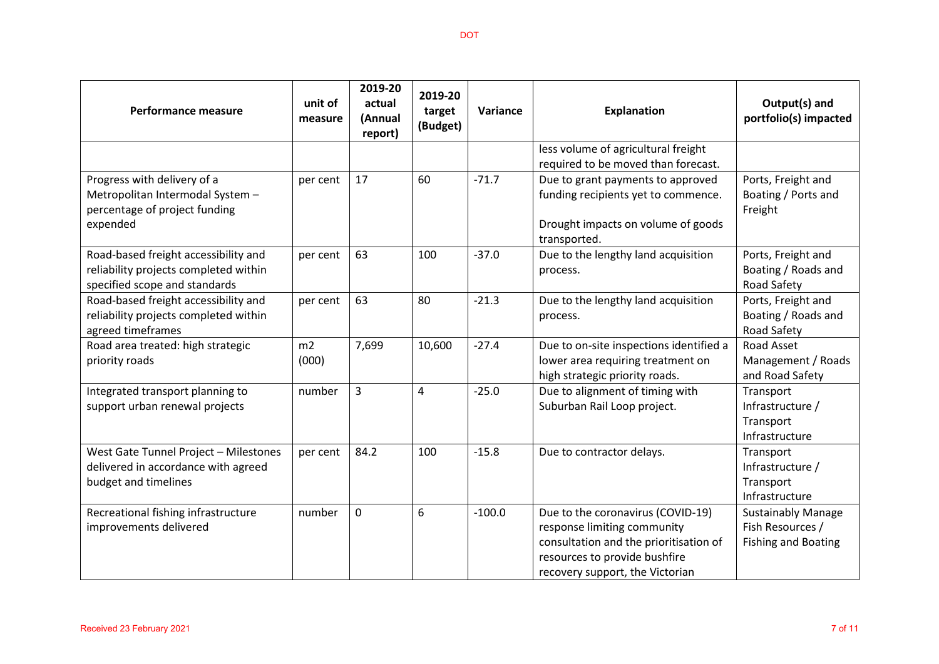| <b>Performance measure</b>                                                                                     | unit of<br>measure | 2019-20<br>actual<br>(Annual<br>report) | 2019-20<br>target<br>(Budget) | Variance | <b>Explanation</b>                                                                                                                                                             | Output(s) and<br>portfolio(s) impacted                                      |
|----------------------------------------------------------------------------------------------------------------|--------------------|-----------------------------------------|-------------------------------|----------|--------------------------------------------------------------------------------------------------------------------------------------------------------------------------------|-----------------------------------------------------------------------------|
|                                                                                                                |                    |                                         |                               |          | less volume of agricultural freight                                                                                                                                            |                                                                             |
|                                                                                                                |                    |                                         |                               |          | required to be moved than forecast.                                                                                                                                            |                                                                             |
| Progress with delivery of a<br>Metropolitan Intermodal System -<br>percentage of project funding               | per cent           | 17                                      | 60                            | $-71.7$  | Due to grant payments to approved<br>funding recipients yet to commence.                                                                                                       | Ports, Freight and<br>Boating / Ports and<br>Freight                        |
| expended                                                                                                       |                    |                                         |                               |          | Drought impacts on volume of goods<br>transported.                                                                                                                             |                                                                             |
| Road-based freight accessibility and<br>reliability projects completed within<br>specified scope and standards | per cent           | 63                                      | 100                           | $-37.0$  | Due to the lengthy land acquisition<br>process.                                                                                                                                | Ports, Freight and<br>Boating / Roads and<br>Road Safety                    |
| Road-based freight accessibility and<br>reliability projects completed within<br>agreed timeframes             | per cent           | 63                                      | 80                            | $-21.3$  | Due to the lengthy land acquisition<br>process.                                                                                                                                | Ports, Freight and<br>Boating / Roads and<br>Road Safety                    |
| Road area treated: high strategic<br>priority roads                                                            | m2<br>(000)        | 7,699                                   | 10,600                        | $-27.4$  | Due to on-site inspections identified a<br>lower area requiring treatment on<br>high strategic priority roads.                                                                 | Road Asset<br>Management / Roads<br>and Road Safety                         |
| Integrated transport planning to<br>support urban renewal projects                                             | number             | $\overline{3}$                          | 4                             | $-25.0$  | Due to alignment of timing with<br>Suburban Rail Loop project.                                                                                                                 | Transport<br>Infrastructure /<br>Transport<br>Infrastructure                |
| West Gate Tunnel Project - Milestones<br>delivered in accordance with agreed<br>budget and timelines           | per cent           | 84.2                                    | 100                           | $-15.8$  | Due to contractor delays.                                                                                                                                                      | Transport<br>Infrastructure /<br>Transport<br>Infrastructure                |
| Recreational fishing infrastructure<br>improvements delivered                                                  | number             | $\mathbf 0$                             | 6                             | $-100.0$ | Due to the coronavirus (COVID-19)<br>response limiting community<br>consultation and the prioritisation of<br>resources to provide bushfire<br>recovery support, the Victorian | <b>Sustainably Manage</b><br>Fish Resources /<br><b>Fishing and Boating</b> |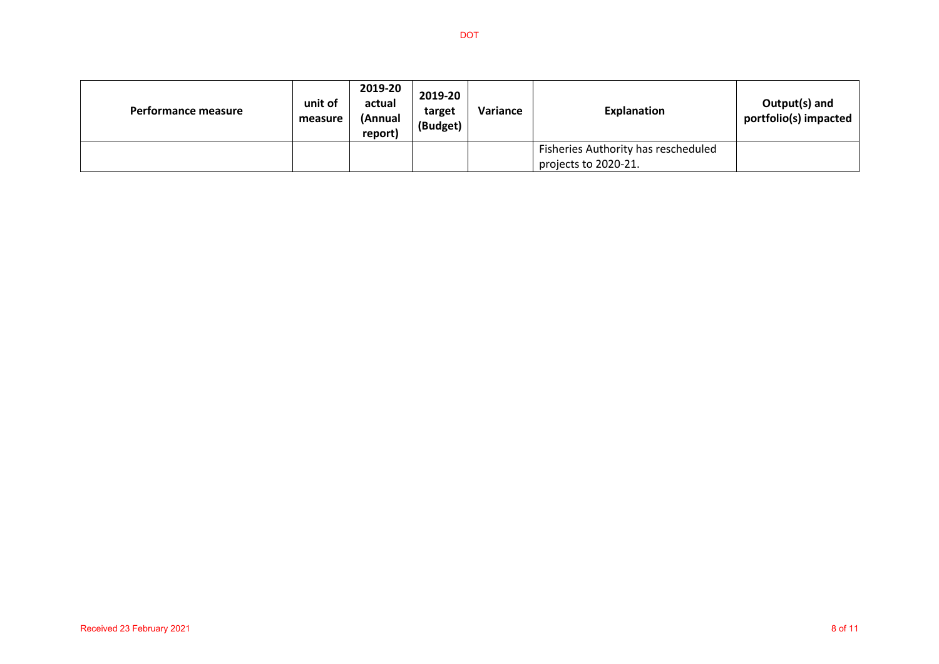| Performance measure | unit of<br>measure | 2019-20<br>actual<br>(Annual<br>report) | 2019-20<br>target<br>(Budget) | Variance | <b>Explanation</b>                                          | Output(s) and<br>portfolio(s) impacted |
|---------------------|--------------------|-----------------------------------------|-------------------------------|----------|-------------------------------------------------------------|----------------------------------------|
|                     |                    |                                         |                               |          | Fisheries Authority has rescheduled<br>projects to 2020-21. |                                        |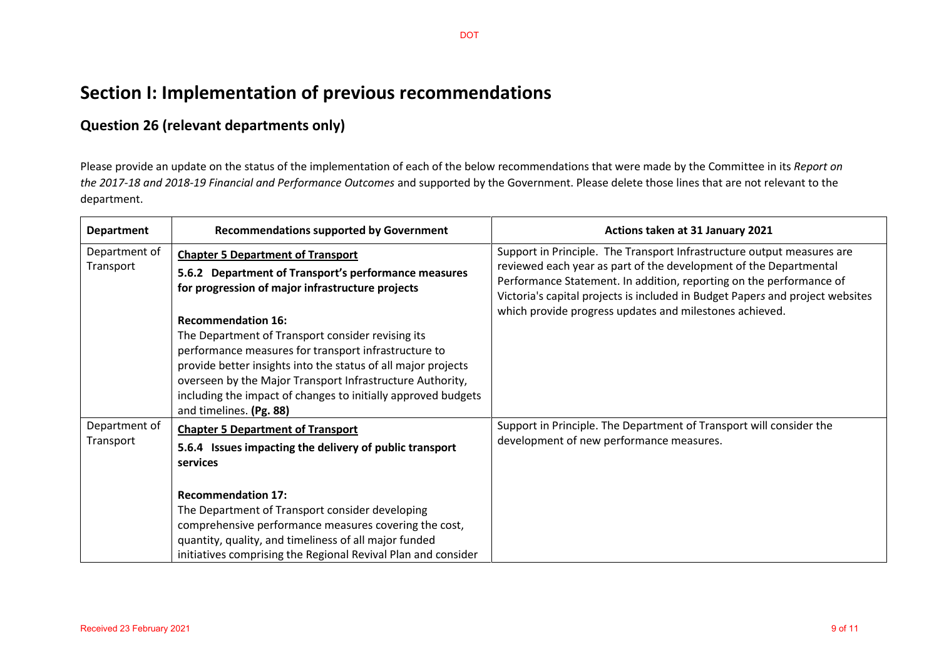# **Section I: Implementation of previous recommendations**

#### **Question 26 (relevant departments only)**

Please provide an update on the status of the implementation of each of the below recommendations that were made by the Committee in its *Report on the 2017-18 and 2018-19 Financial and Performance Outcomes* and supported by the Government. Please delete those lines that are not relevant to the department.

| <b>Department</b>          | <b>Recommendations supported by Government</b>                                                                                                                                                                                                                                                                                                                                                                                                                                                                           | Actions taken at 31 January 2021                                                                                                                                                                                                                                                                                                                               |
|----------------------------|--------------------------------------------------------------------------------------------------------------------------------------------------------------------------------------------------------------------------------------------------------------------------------------------------------------------------------------------------------------------------------------------------------------------------------------------------------------------------------------------------------------------------|----------------------------------------------------------------------------------------------------------------------------------------------------------------------------------------------------------------------------------------------------------------------------------------------------------------------------------------------------------------|
| Department of<br>Transport | <b>Chapter 5 Department of Transport</b><br>5.6.2 Department of Transport's performance measures<br>for progression of major infrastructure projects<br><b>Recommendation 16:</b><br>The Department of Transport consider revising its<br>performance measures for transport infrastructure to<br>provide better insights into the status of all major projects<br>overseen by the Major Transport Infrastructure Authority,<br>including the impact of changes to initially approved budgets<br>and timelines. (Pg. 88) | Support in Principle. The Transport Infrastructure output measures are<br>reviewed each year as part of the development of the Departmental<br>Performance Statement. In addition, reporting on the performance of<br>Victoria's capital projects is included in Budget Papers and project websites<br>which provide progress updates and milestones achieved. |
| Department of<br>Transport | <b>Chapter 5 Department of Transport</b><br>5.6.4 Issues impacting the delivery of public transport<br>services<br><b>Recommendation 17:</b><br>The Department of Transport consider developing<br>comprehensive performance measures covering the cost,<br>quantity, quality, and timeliness of all major funded<br>initiatives comprising the Regional Revival Plan and consider                                                                                                                                       | Support in Principle. The Department of Transport will consider the<br>development of new performance measures.                                                                                                                                                                                                                                                |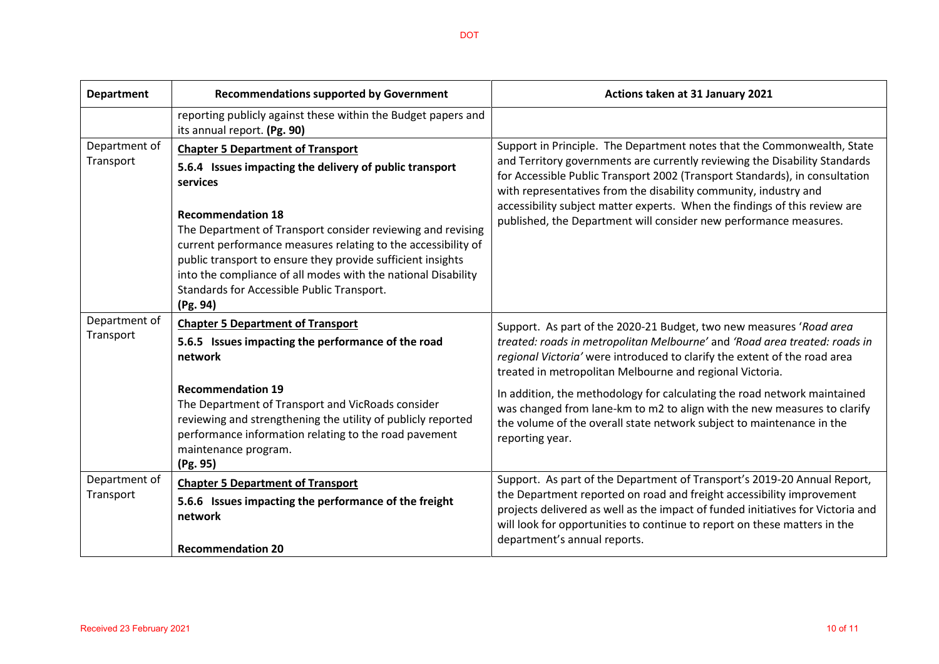| <b>Department</b>          | <b>Recommendations supported by Government</b>                                                                                                                                                                                                                                                                                                                                                                                                                        | Actions taken at 31 January 2021                                                                                                                                                                                                                                                                                                                                                                                                                            |  |  |
|----------------------------|-----------------------------------------------------------------------------------------------------------------------------------------------------------------------------------------------------------------------------------------------------------------------------------------------------------------------------------------------------------------------------------------------------------------------------------------------------------------------|-------------------------------------------------------------------------------------------------------------------------------------------------------------------------------------------------------------------------------------------------------------------------------------------------------------------------------------------------------------------------------------------------------------------------------------------------------------|--|--|
|                            | reporting publicly against these within the Budget papers and<br>its annual report. (Pg. 90)                                                                                                                                                                                                                                                                                                                                                                          |                                                                                                                                                                                                                                                                                                                                                                                                                                                             |  |  |
| Department of<br>Transport | <b>Chapter 5 Department of Transport</b><br>5.6.4 Issues impacting the delivery of public transport<br>services<br><b>Recommendation 18</b><br>The Department of Transport consider reviewing and revising<br>current performance measures relating to the accessibility of<br>public transport to ensure they provide sufficient insights<br>into the compliance of all modes with the national Disability<br>Standards for Accessible Public Transport.<br>(Pg. 94) | Support in Principle. The Department notes that the Commonwealth, State<br>and Territory governments are currently reviewing the Disability Standards<br>for Accessible Public Transport 2002 (Transport Standards), in consultation<br>with representatives from the disability community, industry and<br>accessibility subject matter experts. When the findings of this review are<br>published, the Department will consider new performance measures. |  |  |
| Department of<br>Transport | <b>Chapter 5 Department of Transport</b>                                                                                                                                                                                                                                                                                                                                                                                                                              | Support. As part of the 2020-21 Budget, two new measures 'Road area                                                                                                                                                                                                                                                                                                                                                                                         |  |  |
|                            | 5.6.5 Issues impacting the performance of the road<br>network                                                                                                                                                                                                                                                                                                                                                                                                         | treated: roads in metropolitan Melbourne' and 'Road area treated: roads in<br>regional Victoria' were introduced to clarify the extent of the road area<br>treated in metropolitan Melbourne and regional Victoria.                                                                                                                                                                                                                                         |  |  |
|                            | <b>Recommendation 19</b><br>The Department of Transport and VicRoads consider<br>reviewing and strengthening the utility of publicly reported<br>performance information relating to the road pavement<br>maintenance program.<br>(Pg. 95)                                                                                                                                                                                                                            | In addition, the methodology for calculating the road network maintained<br>was changed from lane-km to m2 to align with the new measures to clarify<br>the volume of the overall state network subject to maintenance in the<br>reporting year.                                                                                                                                                                                                            |  |  |
| Department of              | <b>Chapter 5 Department of Transport</b>                                                                                                                                                                                                                                                                                                                                                                                                                              | Support. As part of the Department of Transport's 2019-20 Annual Report,                                                                                                                                                                                                                                                                                                                                                                                    |  |  |
| Transport                  | 5.6.6 Issues impacting the performance of the freight<br>network<br><b>Recommendation 20</b>                                                                                                                                                                                                                                                                                                                                                                          | the Department reported on road and freight accessibility improvement<br>projects delivered as well as the impact of funded initiatives for Victoria and<br>will look for opportunities to continue to report on these matters in the<br>department's annual reports.                                                                                                                                                                                       |  |  |